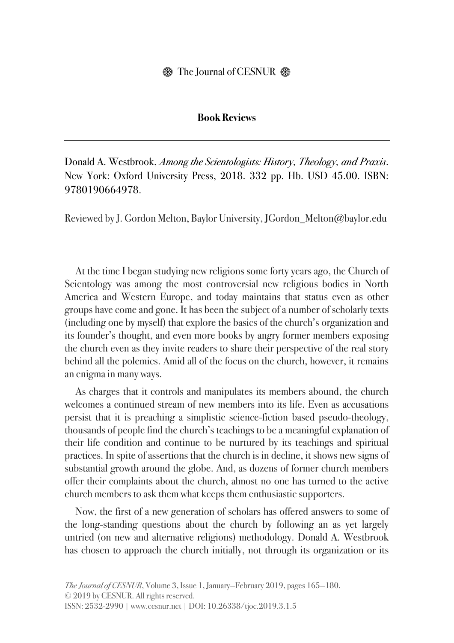## **Book Reviews**

Donald A. Westbrook, *Among the Scientologists: History, Theology, and Praxis*. New York: Oxford University Press, 2018. 332 pp. Hb. USD 45.00. ISBN: 9780190664978.

Reviewed by J. Gordon Melton, Baylor University, JGordon\_Melton@baylor.edu

At the time I began studying new religions some forty years ago, the Church of Scientology was among the most controversial new religious bodies in North America and Western Europe, and today maintains that status even as other groups have come and gone. It has been the subject of a number of scholarly texts (including one by myself) that explore the basics of the church's organization and its founder's thought, and even more books by angry former members exposing the church even as they invite readers to share their perspective of the real story behind all the polemics. Amid all of the focus on the church, however, it remains an enigma in many ways.

As charges that it controls and manipulates its members abound, the church welcomes a continued stream of new members into its life. Even as accusations persist that it is preaching a simplistic science-fiction based pseudo-theology, thousands of people find the church's teachings to be a meaningful explanation of their life condition and continue to be nurtured by its teachings and spiritual practices. In spite of assertions that the church is in decline, it shows new signs of substantial growth around the globe. And, as dozens of former church members offer their complaints about the church, almost no one has turned to the active church members to ask them what keeps them enthusiastic supporters.

Now, the first of a new generation of scholars has offered answers to some of the long-standing questions about the church by following an as yet largely untried (on new and alternative religions) methodology. Donald A. Westbrook has chosen to approach the church initially, not through its organization or its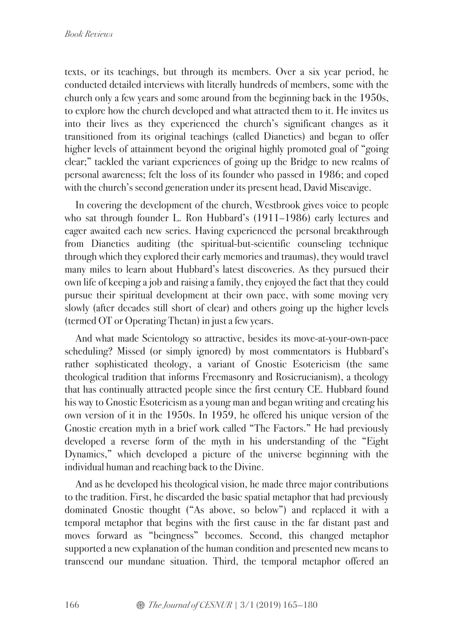texts, or its teachings, but through its members. Over a six year period, he conducted detailed interviews with literally hundreds of members, some with the church only a few years and some around from the beginning back in the 1950s, to explore how the church developed and what attracted them to it. He invites us into their lives as they experienced the church's significant changes as it transitioned from its original teachings (called Dianetics) and began to offer higher levels of attainment beyond the original highly promoted goal of "going" clear;" tackled the variant experiences of going up the Bridge to new realms of personal awareness; felt the loss of its founder who passed in 1986; and coped with the church's second generation under its present head, David Miscavige.

In covering the development of the church, Westbrook gives voice to people who sat through founder L. Ron Hubbard's (1911–1986) early lectures and eager awaited each new series. Having experienced the personal breakthrough from Dianetics auditing (the spiritual-but-scientific counseling technique through which they explored their early memories and traumas), they would travel many miles to learn about Hubbard's latest discoveries. As they pursued their own life of keeping a job and raising a family, they enjoyed the fact that they could pursue their spiritual development at their own pace, with some moving very slowly (after decades still short of clear) and others going up the higher levels (termed OT or Operating Thetan) in just a few years.

And what made Scientology so attractive, besides its move-at-your-own-pace scheduling? Missed (or simply ignored) by most commentators is Hubbard's rather sophisticated theology, a variant of Gnostic Esotericism (the same theological tradition that informs Freemasonry and Rosicrucianism), a theology that has continually attracted people since the first century CE. Hubbard found his way to Gnostic Esotericism as a young man and began writing and creating his own version of it in the 1950s. In 1959, he offered his unique version of the Gnostic creation myth in a brief work called "The Factors." He had previously developed a reverse form of the myth in his understanding of the "Eight Dynamics," which developed a picture of the universe beginning with the individual human and reaching back to the Divine.

And as he developed his theological vision, he made three major contributions to the tradition. First, he discarded the basic spatial metaphor that had previously dominated Gnostic thought ("As above, so below") and replaced it with a temporal metaphor that begins with the first cause in the far distant past and moves forward as "beingness" becomes. Second, this changed metaphor supported a new explanation of the human condition and presented new means to transcend our mundane situation. Third, the temporal metaphor offered an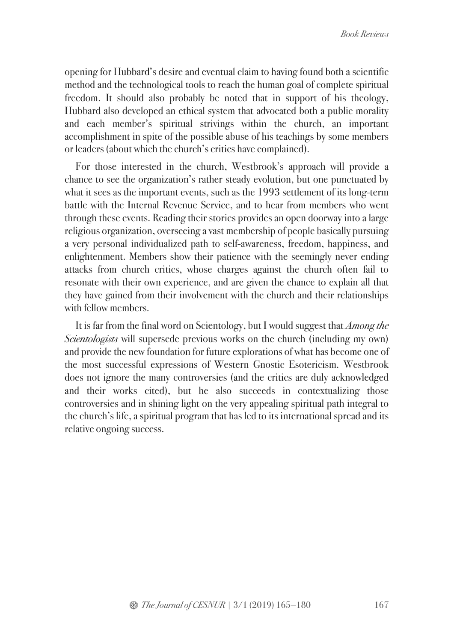opening for Hubbard's desire and eventual claim to having found both a scientific method and the technological tools to reach the human goal of complete spiritual freedom. It should also probably be noted that in support of his theology, Hubbard also developed an ethical system that advocated both a public morality and each member's spiritual strivings within the church, an important accomplishment in spite of the possible abuse of his teachings by some members or leaders (about which the church's critics have complained).

For those interested in the church, Westbrook's approach will provide a chance to see the organization's rather steady evolution, but one punctuated by what it sees as the important events, such as the 1993 settlement of its long-term battle with the Internal Revenue Service, and to hear from members who went through these events. Reading their stories provides an open doorway into a large religious organization, overseeing a vast membership of people basically pursuing a very personal individualized path to self-awareness, freedom, happiness, and enlightenment. Members show their patience with the seemingly never ending attacks from church critics, whose charges against the church often fail to resonate with their own experience, and are given the chance to explain all that they have gained from their involvement with the church and their relationships with fellow members.

It is far from the final word on Scientology, but I would suggest that *Among the Scientologists* will supersede previous works on the church (including my own) and provide the new foundation for future explorations of what has become one of the most successful expressions of Western Gnostic Esotericism. Westbrook does not ignore the many controversies (and the critics are duly acknowledged and their works cited), but he also succeeds in contextualizing those controversies and in shining light on the very appealing spiritual path integral to the church's life, a spiritual program that has led to its international spread and its relative ongoing success.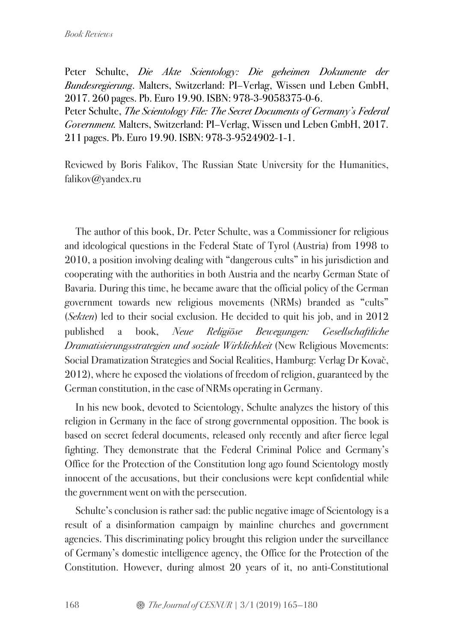Peter Schulte, *Die Akte Scientology: Die geheimen Dokumente der Bundesregierung*. Malters, Switzerland: PI–Verlag, Wissen und Leben GmbH, 2017. 260 pages. Pb. Euro 19.90. ISBN: 978-3-9058375-0-6. Peter Schulte, *The Scientology File: The Secret Documents of Germany's Federal Government.* Malters, Switzerland: PI–Verlag, Wissen und Leben GmbH, 2017. 211 pages. Pb. Euro 19.90. ISBN: 978-3-9524902-1-1.

Reviewed by Boris Falikov, The Russian State University for the Humanities, falikov@yandex.ru

The author of this book, Dr. Peter Schulte, was a Commissioner for religious and ideological questions in the Federal State of Tyrol (Austria) from 1998 to 2010, a position involving dealing with "dangerous cults" in his jurisdiction and cooperating with the authorities in both Austria and the nearby German State of Bavaria. During this time, he became aware that the official policy of the German government towards new religious movements (NRMs) branded as "cults" (*Sekten*) led to their social exclusion. He decided to quit his job, and in 2012 published a book, *Neue Religiöse Bewegungen: Gesellschaftliche Dramatisierungsstrategien und soziale Wirklichkeit* (New Religious Movements: Social Dramatization Strategies and Social Realities, Hamburg: Verlag Dr Kovač, 2012), where he exposed the violations of freedom of religion, guaranteed by the German constitution, in the case of NRMs operating in Germany.

In his new book, devoted to Scientology, Schulte analyzes the history of this religion in Germany in the face of strong governmental opposition. The book is based on secret federal documents, released only recently and after fierce legal fighting. They demonstrate that the Federal Criminal Police and Germany's Office for the Protection of the Constitution long ago found Scientology mostly innocent of the accusations, but their conclusions were kept confidential while the government went on with the persecution.

Schulte's conclusion is rather sad: the public negative image of Scientology is a result of a disinformation campaign by mainline churches and government agencies. This discriminating policy brought this religion under the surveillance of Germany's domestic intelligence agency, the Office for the Protection of the Constitution. However, during almost 20 years of it, no anti-Constitutional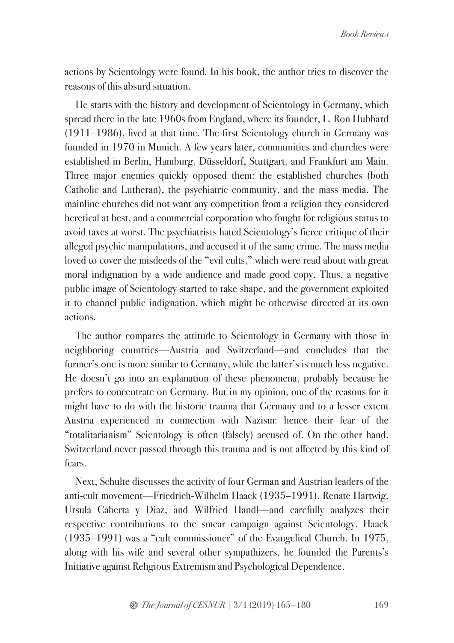actions by Scientology were found. In his book, the author tries to discover the reasons of this absurd situation.

He starts with the history and development of Scientology in Germany, which spread there in the late 1960s from England, where its founder, L. Ron Hubbard (1911–1986), lived at that time. The first Scientology church in Germany was founded in 1970 in Munich. A few years later, communities and churches were established in Berlin, Hamburg, Düsseldorf, Stuttgart, and Frankfurt am Main. Three major enemies quickly opposed them: the established churches (both Catholic and Lutheran), the psychiatric community, and the mass media. The mainline churches did not want any competition from a religion they considered heretical at best, and a commercial corporation who fought for religious status to avoid taxes at worst. The psychiatrists hated Scientology's fierce critique of their alleged psychic manipulations, and accused it of the same crime. The mass media loved to cover the misdeeds of the "evil cults," which were read about with great moral indignation by a wide audience and made good copy. Thus, a negative public image of Scientology started to take shape, and the government exploited it to channel public indignation, which might be otherwise directed at its own actions.

The author compares the attitude to Scientology in Germany with those in neighboring countries—Austria and Switzerland—and concludes that the former's one is more similar to Germany, while the latter's is much less negative. He doesn't go into an explanation of these phenomena, probably because he prefers to concentrate on Germany. But in my opinion, one of the reasons for it might have to do with the historic trauma that Germany and to a lesser extent Austria experienced in connection with Nazism: hence their fear of the "totalitarianism" Scientology is often (falsely) accused of. On the other hand, Switzerland never passed through this trauma and is not affected by this kind of fears.

Next, Schulte discusses the activity of four German and Austrian leaders of the anti-cult movement—Friedrich-Wilhelm Haack (1935–1991), Renate Hartwig, Ursula Caberta y Diaz, and Wilfried Handl—and carefully analyzes their respective contributions to the smear campaign against Scientology. Haack (1935–1991) was a "cult commissioner" of the Evangelical Church. In 1975, along with his wife and several other sympathizers, he founded the Parents's Initiative against Religious Extremism and Psychological Dependence.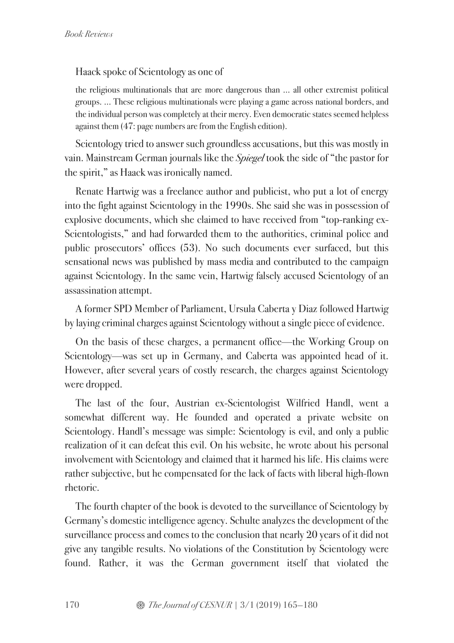Haack spoke of Scientology as one of

the religious multinationals that are more dangerous than … all other extremist political groups. … These religious multinationals were playing a game across national borders, and the individual person was completely at their mercy. Even democratic states seemed helpless against them (47: page numbers are from the English edition).

Scientology tried to answer such groundless accusations, but this was mostly in vain. Mainstream German journals like the *Spiegel* took the side of "the pastor for the spirit," as Haack was ironically named.

Renate Hartwig was a freelance author and publicist, who put a lot of energy into the fight against Scientology in the 1990s. She said she was in possession of explosive documents, which she claimed to have received from "top-ranking ex-Scientologists," and had forwarded them to the authorities, criminal police and public prosecutors' offices (53). No such documents ever surfaced, but this sensational news was published by mass media and contributed to the campaign against Scientology. In the same vein, Hartwig falsely accused Scientology of an assassination attempt.

A former SPD Member of Parliament, Ursula Caberta y Diaz followed Hartwig by laying criminal charges against Scientology without a single piece of evidence.

On the basis of these charges, a permanent office—the Working Group on Scientology—was set up in Germany, and Caberta was appointed head of it. However, after several years of costly research, the charges against Scientology were dropped.

The last of the four, Austrian ex-Scientologist Wilfried Handl, went a somewhat different way. He founded and operated a private website on Scientology. Handl's message was simple: Scientology is evil, and only a public realization of it can defeat this evil. On his website, he wrote about his personal involvement with Scientology and claimed that it harmed his life. His claims were rather subjective, but he compensated for the lack of facts with liberal high-flown rhetoric.

The fourth chapter of the book is devoted to the surveillance of Scientology by Germany's domestic intelligence agency. Schulte analyzes the development of the surveillance process and comes to the conclusion that nearly 20 years of it did not give any tangible results. No violations of the Constitution by Scientology were found. Rather, it was the German government itself that violated the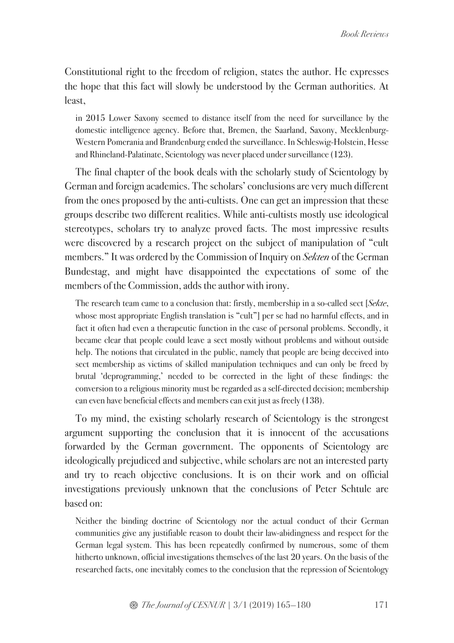Constitutional right to the freedom of religion, states the author. He expresses the hope that this fact will slowly be understood by the German authorities. At least,

in 2015 Lower Saxony seemed to distance itself from the need for surveillance by the domestic intelligence agency. Before that, Bremen, the Saarland, Saxony, Mecklenburg-Western Pomerania and Brandenburg ended the surveillance. In Schleswig-Holstein, Hesse and Rhineland-Palatinate, Scientology was never placed under surveillance (123).

The final chapter of the book deals with the scholarly study of Scientology by German and foreign academics. The scholars' conclusions are very much different from the ones proposed by the anti-cultists. One can get an impression that these groups describe two different realities. While anti-cultists mostly use ideological stereotypes, scholars try to analyze proved facts. The most impressive results were discovered by a research project on the subject of manipulation of "cult members." It was ordered by the Commission of Inquiry on *Sekten* of the German Bundestag, and might have disappointed the expectations of some of the members of the Commission, adds the author with irony.

The research team came to a conclusion that: firstly, membership in a so-called sect [*Sekte*, whose most appropriate English translation is "cult"] per se had no harmful effects, and in fact it often had even a therapeutic function in the case of personal problems. Secondly, it became clear that people could leave a sect mostly without problems and without outside help. The notions that circulated in the public, namely that people are being deceived into sect membership as victims of skilled manipulation techniques and can only be freed by brutal 'deprogramming,' needed to be corrected in the light of these findings: the conversion to a religious minority must be regarded as a self-directed decision; membership can even have beneficial effects and members can exit just as freely (138).

To my mind, the existing scholarly research of Scientology is the strongest argument supporting the conclusion that it is innocent of the accusations forwarded by the German government. The opponents of Scientology are ideologically prejudiced and subjective, while scholars are not an interested party and try to reach objective conclusions. It is on their work and on official investigations previously unknown that the conclusions of Peter Schtule are based on:

Neither the binding doctrine of Scientology nor the actual conduct of their German communities give any justifiable reason to doubt their law-abidingness and respect for the German legal system. This has been repeatedly confirmed by numerous, some of them hitherto unknown, official investigations themselves of the last 20 years. On the basis of the researched facts, one inevitably comes to the conclusion that the repression of Scientology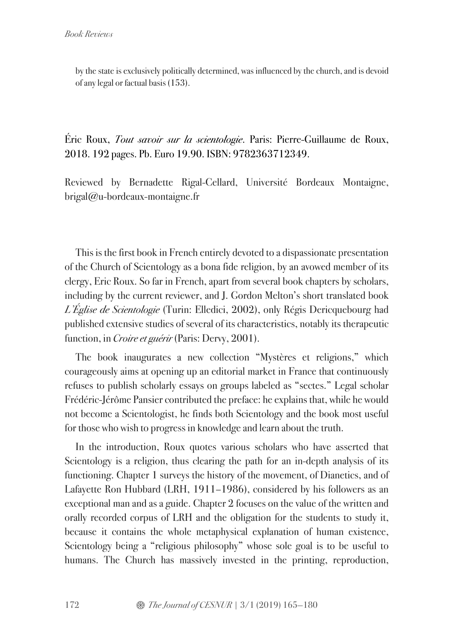by the state is exclusively politically determined, was influenced by the church, and is devoid of any legal or factual basis (153).

Éric Roux, *Tout savoir sur la scientologie*. Paris: Pierre-Guillaume de Roux, 2018. 192 pages. Pb. Euro 19.90. ISBN: 9782363712349.

Reviewed by Bernadette Rigal-Cellard, Université Bordeaux Montaigne, brigal@u-bordeaux-montaigne.fr

This is the first book in French entirely devoted to a dispassionate presentation of the Church of Scientology as a bona fide religion, by an avowed member of its clergy, Eric Roux. So far in French, apart from several book chapters by scholars, including by the current reviewer, and J. Gordon Melton's short translated book *L'Église de Scientologie* (Turin: Elledici, 2002), only Régis Dericquebourg had published extensive studies of several of its characteristics, notably its therapeutic function, in *Croire et guérir* (Paris: Dervy, 2001).

The book inaugurates a new collection "Mystères et religions," which courageously aims at opening up an editorial market in France that continuously refuses to publish scholarly essays on groups labeled as "sectes." Legal scholar Frédéric-Jérôme Pansier contributed the preface: he explains that, while he would not become a Scientologist, he finds both Scientology and the book most useful for those who wish to progress in knowledge and learn about the truth.

In the introduction, Roux quotes various scholars who have asserted that Scientology is a religion, thus clearing the path for an in-depth analysis of its functioning. Chapter 1 surveys the history of the movement, of Dianetics, and of Lafayette Ron Hubbard (LRH, 1911–1986), considered by his followers as an exceptional man and as a guide. Chapter 2 focuses on the value of the written and orally recorded corpus of LRH and the obligation for the students to study it, because it contains the whole metaphysical explanation of human existence, Scientology being a "religious philosophy" whose sole goal is to be useful to humans. The Church has massively invested in the printing, reproduction,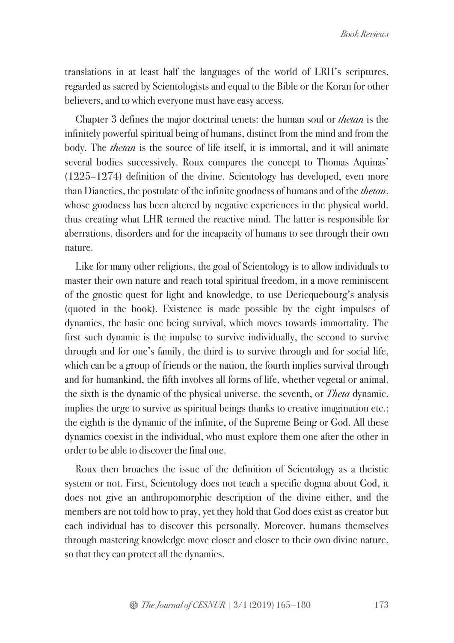translations in at least half the languages of the world of LRH's scriptures, regarded as sacred by Scientologists and equal to the Bible or the Koran for other believers, and to which everyone must have easy access.

Chapter 3 defines the major doctrinal tenets: the human soul or *thetan* is the infinitely powerful spiritual being of humans, distinct from the mind and from the body. The *thetan* is the source of life itself, it is immortal, and it will animate several bodies successively. Roux compares the concept to Thomas Aquinas' (1225–1274) definition of the divine. Scientology has developed, even more than Dianetics, the postulate of the infinite goodness of humans and of the *thetan*, whose goodness has been altered by negative experiences in the physical world, thus creating what LHR termed the reactive mind. The latter is responsible for aberrations, disorders and for the incapacity of humans to see through their own nature.

Like for many other religions, the goal of Scientology is to allow individuals to master their own nature and reach total spiritual freedom, in a move reminiscent of the gnostic quest for light and knowledge, to use Dericquebourg's analysis (quoted in the book). Existence is made possible by the eight impulses of dynamics, the basic one being survival, which moves towards immortality. The first such dynamic is the impulse to survive individually, the second to survive through and for one's family, the third is to survive through and for social life, which can be a group of friends or the nation, the fourth implies survival through and for humankind, the fifth involves all forms of life, whether vegetal or animal, the sixth is the dynamic of the physical universe, the seventh, or *Theta* dynamic, implies the urge to survive as spiritual beings thanks to creative imagination etc.; the eighth is the dynamic of the infinite, of the Supreme Being or God. All these dynamics coexist in the individual, who must explore them one after the other in order to be able to discover the final one.

Roux then broaches the issue of the definition of Scientology as a theistic system or not. First, Scientology does not teach a specific dogma about God, it does not give an anthropomorphic description of the divine either, and the members are not told how to pray, yet they hold that God does exist as creator but each individual has to discover this personally. Moreover, humans themselves through mastering knowledge move closer and closer to their own divine nature, so that they can protect all the dynamics.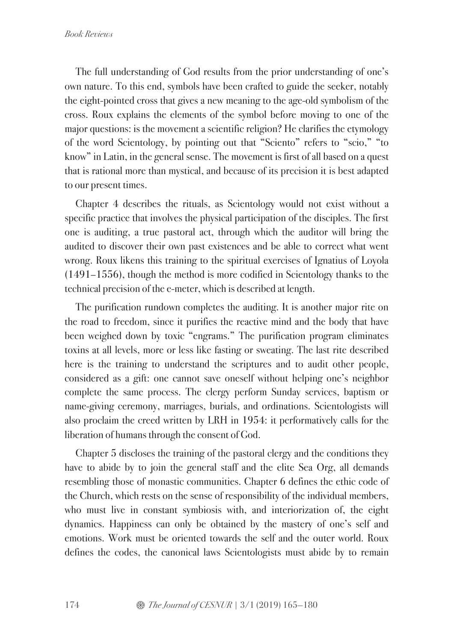The full understanding of God results from the prior understanding of one's own nature. To this end, symbols have been crafted to guide the seeker, notably the eight-pointed cross that gives a new meaning to the age-old symbolism of the cross. Roux explains the elements of the symbol before moving to one of the major questions: is the movement a scientific religion? He clarifies the etymology of the word Scientology, by pointing out that "Sciento" refers to "scio," "to know" in Latin, in the general sense. The movement is first of all based on a quest that is rational more than mystical, and because of its precision it is best adapted to our present times.

Chapter 4 describes the rituals, as Scientology would not exist without a specific practice that involves the physical participation of the disciples. The first one is auditing, a true pastoral act, through which the auditor will bring the audited to discover their own past existences and be able to correct what went wrong. Roux likens this training to the spiritual exercises of Ignatius of Loyola (1491–1556), though the method is more codified in Scientology thanks to the technical precision of the e-meter, which is described at length.

The purification rundown completes the auditing. It is another major rite on the road to freedom, since it purifies the reactive mind and the body that have been weighed down by toxic "engrams." The purification program eliminates toxins at all levels, more or less like fasting or sweating. The last rite described here is the training to understand the scriptures and to audit other people, considered as a gift: one cannot save oneself without helping one's neighbor complete the same process. The clergy perform Sunday services, baptism or name-giving ceremony, marriages, burials, and ordinations. Scientologists will also proclaim the creed written by LRH in 1954: it performatively calls for the liberation of humans through the consent of God.

Chapter 5 discloses the training of the pastoral clergy and the conditions they have to abide by to join the general staff and the elite Sea Org, all demands resembling those of monastic communities. Chapter 6 defines the ethic code of the Church, which rests on the sense of responsibility of the individual members, who must live in constant symbiosis with, and interiorization of, the eight dynamics. Happiness can only be obtained by the mastery of one's self and emotions. Work must be oriented towards the self and the outer world. Roux defines the codes, the canonical laws Scientologists must abide by to remain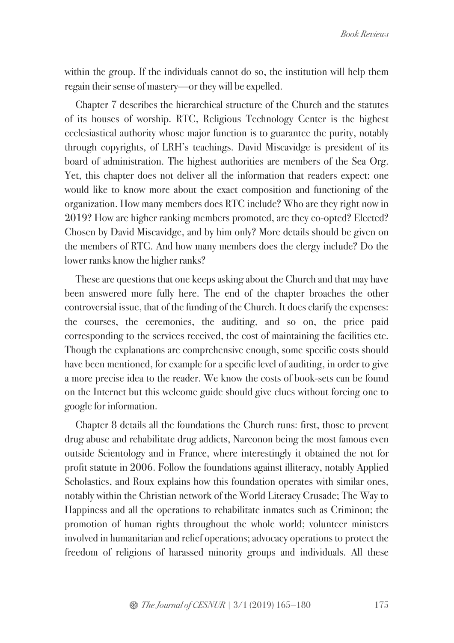within the group. If the individuals cannot do so, the institution will help them regain their sense of mastery—or they will be expelled.

Chapter 7 describes the hierarchical structure of the Church and the statutes of its houses of worship. RTC, Religious Technology Center is the highest ecclesiastical authority whose major function is to guarantee the purity, notably through copyrights, of LRH's teachings. David Miscavidge is president of its board of administration. The highest authorities are members of the Sea Org. Yet, this chapter does not deliver all the information that readers expect: one would like to know more about the exact composition and functioning of the organization. How many members does RTC include? Who are they right now in 2019? How are higher ranking members promoted, are they co-opted? Elected? Chosen by David Miscavidge, and by him only? More details should be given on the members of RTC. And how many members does the clergy include? Do the lower ranks know the higher ranks?

These are questions that one keeps asking about the Church and that may have been answered more fully here. The end of the chapter broaches the other controversial issue, that of the funding of the Church. It does clarify the expenses: the courses, the ceremonies, the auditing, and so on, the price paid corresponding to the services received, the cost of maintaining the facilities etc. Though the explanations are comprehensive enough, some specific costs should have been mentioned, for example for a specific level of auditing, in order to give a more precise idea to the reader. We know the costs of book-sets can be found on the Internet but this welcome guide should give clues without forcing one to google for information.

Chapter 8 details all the foundations the Church runs: first, those to prevent drug abuse and rehabilitate drug addicts, Narconon being the most famous even outside Scientology and in France, where interestingly it obtained the not for profit statute in 2006. Follow the foundations against illiteracy, notably Applied Scholastics, and Roux explains how this foundation operates with similar ones, notably within the Christian network of the World Literacy Crusade; The Way to Happiness and all the operations to rehabilitate inmates such as Criminon; the promotion of human rights throughout the whole world; volunteer ministers involved in humanitarian and relief operations; advocacy operations to protect the freedom of religions of harassed minority groups and individuals. All these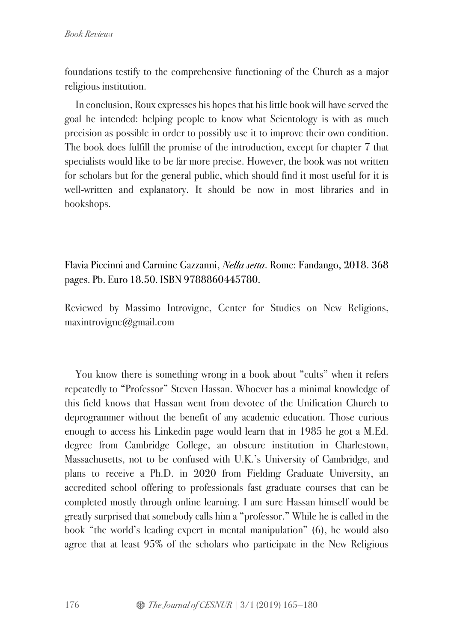foundations testify to the comprehensive functioning of the Church as a major religious institution.

In conclusion, Roux expresses his hopes that his little book will have served the goal he intended: helping people to know what Scientology is with as much precision as possible in order to possibly use it to improve their own condition. The book does fulfill the promise of the introduction, except for chapter 7 that specialists would like to be far more precise. However, the book was not written for scholars but for the general public, which should find it most useful for it is well-written and explanatory. It should be now in most libraries and in bookshops.

Flavia Piccinni and Carmine Gazzanni, *Nella setta*. Rome: Fandango, 2018. 368 pages. Pb. Euro 18.50. ISBN 9788860445780.

Reviewed by Massimo Introvigne, Center for Studies on New Religions, maxintrovigne@gmail.com

You know there is something wrong in a book about "cults" when it refers repeatedly to "Professor" Steven Hassan. Whoever has a minimal knowledge of this field knows that Hassan went from devotee of the Unification Church to deprogrammer without the benefit of any academic education. Those curious enough to access his Linkedin page would learn that in 1985 he got a M.Ed. degree from Cambridge College, an obscure institution in Charlestown, Massachusetts, not to be confused with U.K.'s University of Cambridge, and plans to receive a Ph.D. in 2020 from Fielding Graduate University, an accredited school offering to professionals fast graduate courses that can be completed mostly through online learning. I am sure Hassan himself would be greatly surprised that somebody calls him a "professor." While he is called in the book "the world's leading expert in mental manipulation" (6), he would also agree that at least 95% of the scholars who participate in the New Religious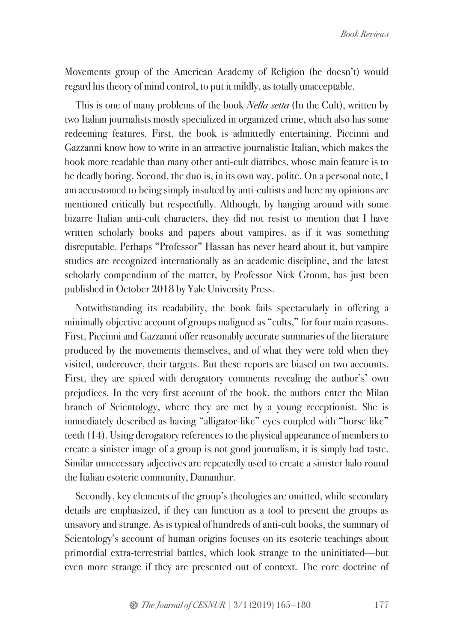Movements group of the American Academy of Religion (he doesn't) would regard his theory of mind control, to put it mildly, as totally unacceptable.

This is one of many problems of the book *Nella setta* (In the Cult), written by two Italian journalists mostly specialized in organized crime, which also has some redeeming features. First, the book is admittedly entertaining. Piccinni and Gazzanni know how to write in an attractive journalistic Italian, which makes the book more readable than many other anti-cult diatribes, whose main feature is to be deadly boring. Second, the duo is, in its own way, polite. On a personal note, I am accustomed to being simply insulted by anti-cultists and here my opinions are mentioned critically but respectfully. Although, by hanging around with some bizarre Italian anti-cult characters, they did not resist to mention that I have written scholarly books and papers about vampires, as if it was something disreputable. Perhaps "Professor" Hassan has never heard about it, but vampire studies are recognized internationally as an academic discipline, and the latest scholarly compendium of the matter, by Professor Nick Groom, has just been published in October 2018 by Yale University Press.

Notwithstanding its readability, the book fails spectacularly in offering a minimally objective account of groups maligned as "cults," for four main reasons. First, Piccinni and Gazzanni offer reasonably accurate summaries of the literature produced by the movements themselves, and of what they were told when they visited, undercover, their targets. But these reports are biased on two accounts. First, they are spiced with derogatory comments revealing the author's' own prejudices. In the very first account of the book, the authors enter the Milan branch of Scientology, where they are met by a young receptionist. She is immediately described as having "alligator-like" eyes coupled with "horse-like" teeth (14). Using derogatory references to the physical appearance of members to create a sinister image of a group is not good journalism, it is simply bad taste. Similar unnecessary adjectives are repeatedly used to create a sinister halo round the Italian esoteric community, Damanhur.

Secondly, key elements of the group's theologies are omitted, while secondary details are emphasized, if they can function as a tool to present the groups as unsavory and strange. As is typical of hundreds of anti-cult books, the summary of Scientology's account of human origins focuses on its esoteric teachings about primordial extra-terrestrial battles, which look strange to the uninitiated—but even more strange if they are presented out of context. The core doctrine of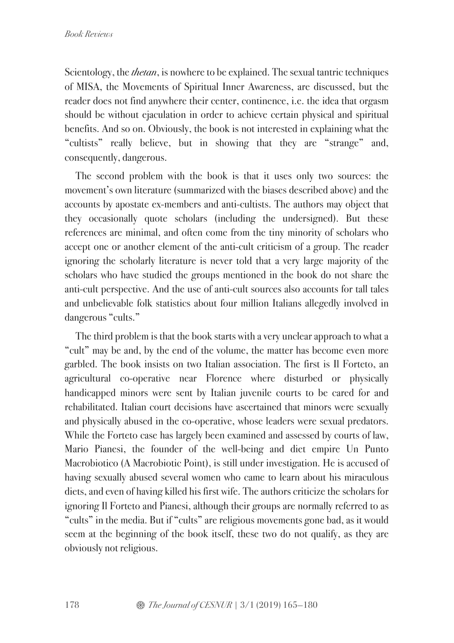Scientology, the *thetan*, is nowhere to be explained. The sexual tantric techniques of MISA, the Movements of Spiritual Inner Awareness, are discussed, but the reader does not find anywhere their center, continence, i.e. the idea that orgasm should be without ejaculation in order to achieve certain physical and spiritual benefits. And so on. Obviously, the book is not interested in explaining what the "cultists" really believe, but in showing that they are "strange" and, consequently, dangerous.

The second problem with the book is that it uses only two sources: the movement's own literature (summarized with the biases described above) and the accounts by apostate ex-members and anti-cultists. The authors may object that they occasionally quote scholars (including the undersigned). But these references are minimal, and often come from the tiny minority of scholars who accept one or another element of the anti-cult criticism of a group. The reader ignoring the scholarly literature is never told that a very large majority of the scholars who have studied the groups mentioned in the book do not share the anti-cult perspective. And the use of anti-cult sources also accounts for tall tales and unbelievable folk statistics about four million Italians allegedly involved in dangerous "cults."

The third problem is that the book starts with a very unclear approach to what a "cult" may be and, by the end of the volume, the matter has become even more garbled. The book insists on two Italian association. The first is Il Forteto, an agricultural co-operative near Florence where disturbed or physically handicapped minors were sent by Italian juvenile courts to be cared for and rehabilitated. Italian court decisions have ascertained that minors were sexually and physically abused in the co-operative, whose leaders were sexual predators. While the Forteto case has largely been examined and assessed by courts of law, Mario Pianesi, the founder of the well-being and diet empire Un Punto Macrobiotico (A Macrobiotic Point), is still under investigation. He is accused of having sexually abused several women who came to learn about his miraculous diets, and even of having killed his first wife. The authors criticize the scholars for ignoring Il Forteto and Pianesi, although their groups are normally referred to as "cults" in the media. But if "cults" are religious movements gone bad, as it would seem at the beginning of the book itself, these two do not qualify, as they are obviously not religious.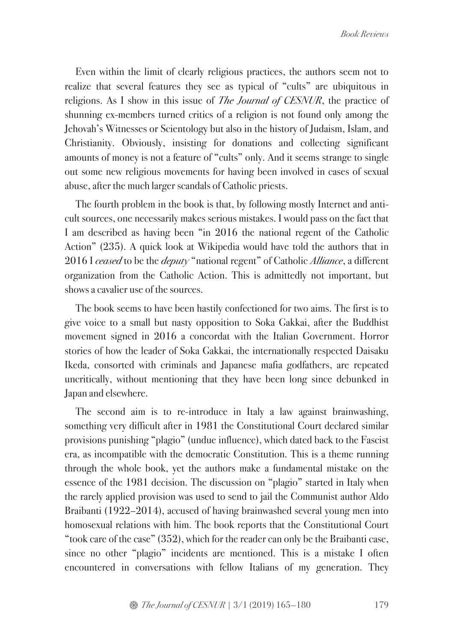Even within the limit of clearly religious practices, the authors seem not to realize that several features they see as typical of "cults" are ubiquitous in religions. As I show in this issue of *The Journal of CESNUR*, the practice of shunning ex-members turned critics of a religion is not found only among the Jehovah's Witnesses or Scientology but also in the history of Judaism, Islam, and Christianity. Obviously, insisting for donations and collecting significant amounts of money is not a feature of "cults" only. And it seems strange to single out some new religious movements for having been involved in cases of sexual abuse, after the much larger scandals of Catholic priests.

The fourth problem in the book is that, by following mostly Internet and anticult sources, one necessarily makes serious mistakes. I would pass on the fact that I am described as having been "in 2016 the national regent of the Catholic Action" (235). A quick look at Wikipedia would have told the authors that in 2016 I *ceased* to be the *deputy* "national regent" of Catholic *Alliance*, a different organization from the Catholic Action. This is admittedly not important, but shows a cavalier use of the sources.

The book seems to have been hastily confectioned for two aims. The first is to give voice to a small but nasty opposition to Soka Gakkai, after the Buddhist movement signed in 2016 a concordat with the Italian Government. Horror stories of how the leader of Soka Gakkai, the internationally respected Daisaku Ikeda, consorted with criminals and Japanese mafia godfathers, are repeated uncritically, without mentioning that they have been long since debunked in Japan and elsewhere.

The second aim is to re-introduce in Italy a law against brainwashing, something very difficult after in 1981 the Constitutional Court declared similar provisions punishing "plagio" (undue influence), which dated back to the Fascist era, as incompatible with the democratic Constitution. This is a theme running through the whole book, yet the authors make a fundamental mistake on the essence of the 1981 decision. The discussion on "plagio" started in Italy when the rarely applied provision was used to send to jail the Communist author Aldo Braibanti (1922–2014), accused of having brainwashed several young men into homosexual relations with him. The book reports that the Constitutional Court "took care of the case" (352), which for the reader can only be the Braibanti case, since no other "plagio" incidents are mentioned. This is a mistake I often encountered in conversations with fellow Italians of my generation. They